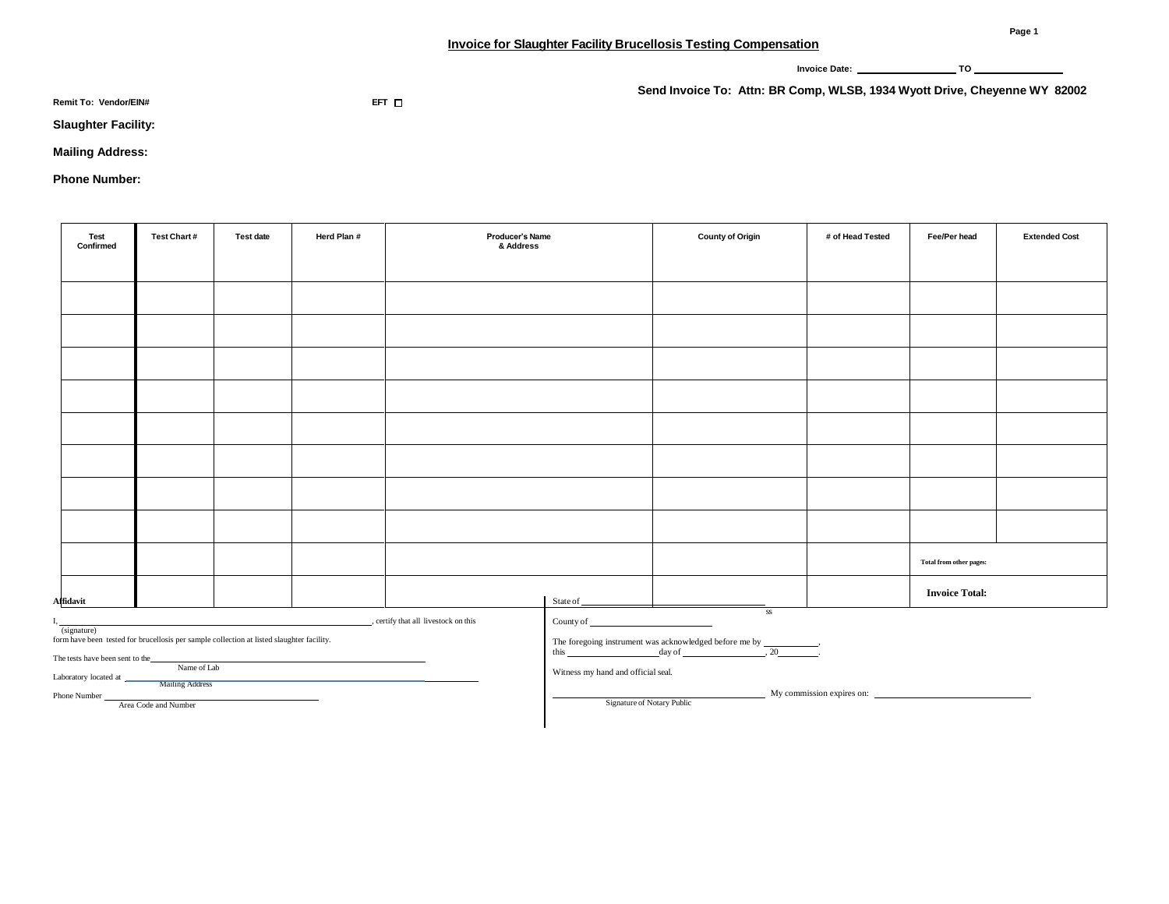**Invoice Date: TO** 

**Remit To: Vendor/EIN# EFT**

**Send Invoice To: Attn: BR Comp, WLSB, 1934 Wyott Drive, Cheyenne WY 82002**

**Slaughter Facility:** 

**Mailing Address:** 

**Phone Number:**

| Test<br>Confirmed                                                    | Test Chart# | <b>Test date</b> | Herd Plan # | Producer's Name<br>& Address |          | <b>County of Origin</b> | # of Head Tested | Fee/Per head            | <b>Extended Cost</b> |
|----------------------------------------------------------------------|-------------|------------------|-------------|------------------------------|----------|-------------------------|------------------|-------------------------|----------------------|
|                                                                      |             |                  |             |                              |          |                         |                  |                         |                      |
|                                                                      |             |                  |             |                              |          |                         |                  |                         |                      |
|                                                                      |             |                  |             |                              |          |                         |                  |                         |                      |
|                                                                      |             |                  |             |                              |          |                         |                  |                         |                      |
|                                                                      |             |                  |             |                              |          |                         |                  |                         |                      |
|                                                                      |             |                  |             |                              |          |                         |                  |                         |                      |
|                                                                      |             |                  |             |                              |          |                         |                  |                         |                      |
|                                                                      |             |                  |             |                              |          |                         |                  |                         |                      |
|                                                                      |             |                  |             |                              |          |                         |                  |                         |                      |
|                                                                      |             |                  |             |                              |          |                         |                  | Total from other pages: |                      |
| Affidavit                                                            |             |                  |             |                              | State of |                         |                  | <b>Invoice Total:</b>   |                      |
| $_{\rm SS}$<br>_, certify that all livestock on this<br>County of __ |             |                  |             |                              |          |                         |                  |                         |                      |

(signature)

form have been tested for brucellosis per sample collection at listed slaughter facility.

The tests have been sent to the

Laboratory located at \_ Name of Lab

Mailing Address Phone Number

Area Code and Number

The foregoing instrument was acknowledged before me by  $\frac{d}{dx}$ , 20

Witness my hand and official seal.

My commission expires on:

Signature of Notary Public

**Page 1**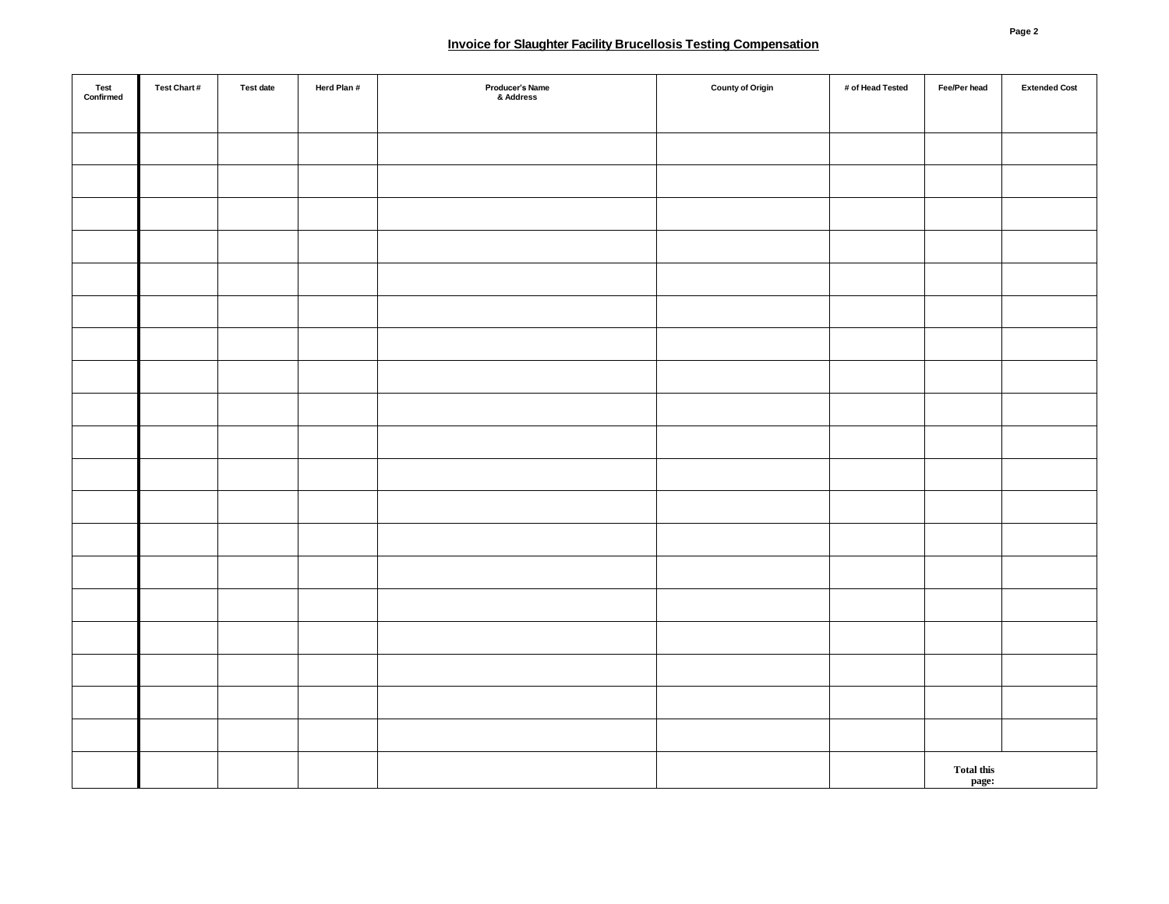## **Invoice for Slaughter Facility Brucellosis Testing Compensation**

| Test<br>Confirmed | Test Chart# | Test date | Herd Plan # | Producer's Name<br>& Address | <b>County of Origin</b> | # of Head Tested | Fee/Per head               | <b>Extended Cost</b> |
|-------------------|-------------|-----------|-------------|------------------------------|-------------------------|------------------|----------------------------|----------------------|
|                   |             |           |             |                              |                         |                  |                            |                      |
|                   |             |           |             |                              |                         |                  |                            |                      |
|                   |             |           |             |                              |                         |                  |                            |                      |
|                   |             |           |             |                              |                         |                  |                            |                      |
|                   |             |           |             |                              |                         |                  |                            |                      |
|                   |             |           |             |                              |                         |                  |                            |                      |
|                   |             |           |             |                              |                         |                  |                            |                      |
|                   |             |           |             |                              |                         |                  |                            |                      |
|                   |             |           |             |                              |                         |                  |                            |                      |
|                   |             |           |             |                              |                         |                  |                            |                      |
|                   |             |           |             |                              |                         |                  |                            |                      |
|                   |             |           |             |                              |                         |                  |                            |                      |
|                   |             |           |             |                              |                         |                  |                            |                      |
|                   |             |           |             |                              |                         |                  |                            |                      |
|                   |             |           |             |                              |                         |                  |                            |                      |
|                   |             |           |             |                              |                         |                  |                            |                      |
|                   |             |           |             |                              |                         |                  |                            |                      |
|                   |             |           |             |                              |                         |                  |                            |                      |
|                   |             |           |             |                              |                         |                  |                            |                      |
|                   |             |           |             |                              |                         |                  |                            |                      |
|                   |             |           |             |                              |                         |                  | <b>Total this</b><br>page: |                      |